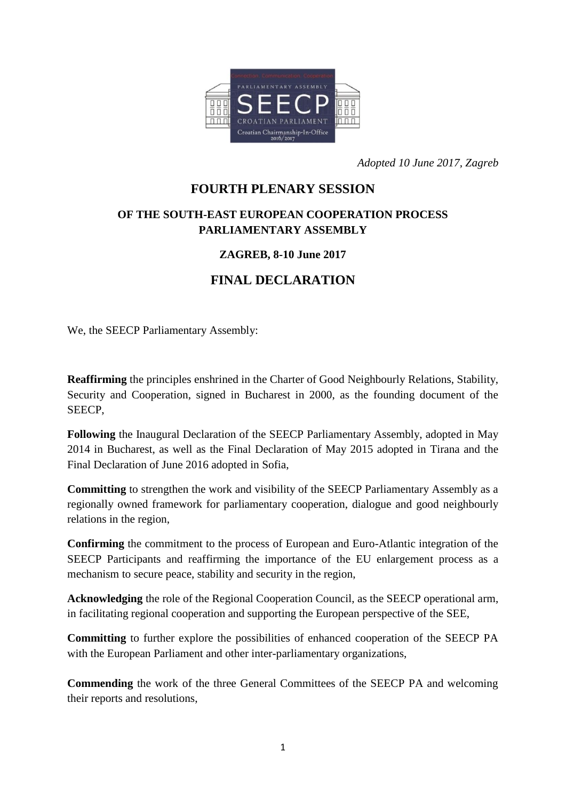

*Adopted 10 June 2017, Zagreb*

## **FOURTH PLENARY SESSION**

## **OF THE SOUTH-EAST EUROPEAN COOPERATION PROCESS PARLIAMENTARY ASSEMBLY**

## **ZAGREB, 8-10 June 2017**

## **FINAL DECLARATION**

We, the SEECP Parliamentary Assembly:

**Reaffirming** the principles enshrined in the Charter of Good Neighbourly Relations, Stability, Security and Cooperation, signed in Bucharest in 2000, as the founding document of the SEECP,

**Following** the Inaugural Declaration of the SEECP Parliamentary Assembly, adopted in May 2014 in Bucharest, as well as the Final Declaration of May 2015 adopted in Tirana and the Final Declaration of June 2016 adopted in Sofia,

**Committing** to strengthen the work and visibility of the SEECP Parliamentary Assembly as a regionally owned framework for parliamentary cooperation, dialogue and good neighbourly relations in the region,

**Confirming** the commitment to the process of European and Euro-Atlantic integration of the SEECP Participants and reaffirming the importance of the EU enlargement process as a mechanism to secure peace, stability and security in the region,

**Acknowledging** the role of the Regional Cooperation Council, as the SEECP operational arm, in facilitating regional cooperation and supporting the European perspective of the SEE,

**Committing** to further explore the possibilities of enhanced cooperation of the SEECP PA with the European Parliament and other inter-parliamentary organizations,

**Commending** the work of the three General Committees of the SEECP PA and welcoming their reports and resolutions,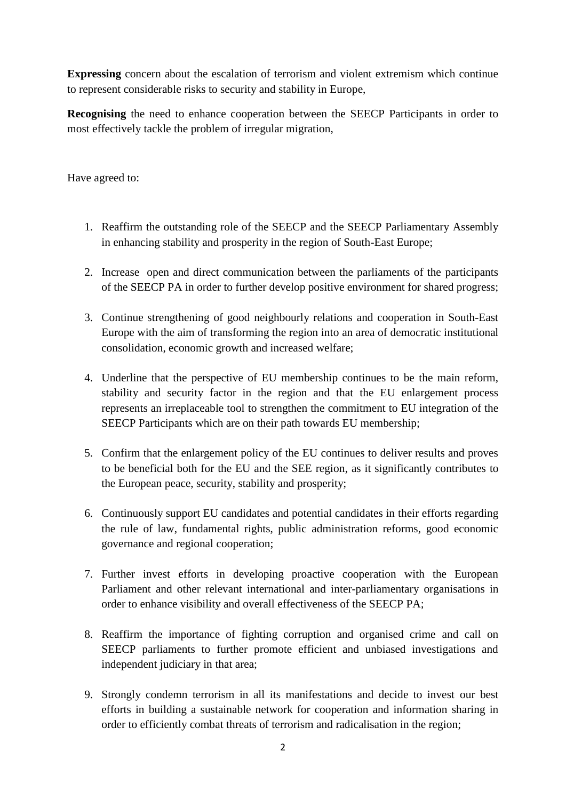**Expressing** concern about the escalation of terrorism and violent extremism which continue to represent considerable risks to security and stability in Europe,

**Recognising** the need to enhance cooperation between the SEECP Participants in order to most effectively tackle the problem of irregular migration,

Have agreed to:

- 1. Reaffirm the outstanding role of the SEECP and the SEECP Parliamentary Assembly in enhancing stability and prosperity in the region of South-East Europe;
- 2. Increase open and direct communication between the parliaments of the participants of the SEECP PA in order to further develop positive environment for shared progress;
- 3. Continue strengthening of good neighbourly relations and cooperation in South-East Europe with the aim of transforming the region into an area of democratic institutional consolidation, economic growth and increased welfare;
- 4. Underline that the perspective of EU membership continues to be the main reform, stability and security factor in the region and that the EU enlargement process represents an irreplaceable tool to strengthen the commitment to EU integration of the SEECP Participants which are on their path towards EU membership;
- 5. Confirm that the enlargement policy of the EU continues to deliver results and proves to be beneficial both for the EU and the SEE region, as it significantly contributes to the European peace, security, stability and prosperity;
- 6. Continuously support EU candidates and potential candidates in their efforts regarding the rule of law, fundamental rights, public administration reforms, good economic governance and regional cooperation;
- 7. Further invest efforts in developing proactive cooperation with the European Parliament and other relevant international and inter-parliamentary organisations in order to enhance visibility and overall effectiveness of the SEECP PA;
- 8. Reaffirm the importance of fighting corruption and organised crime and call on SEECP parliaments to further promote efficient and unbiased investigations and independent judiciary in that area;
- 9. Strongly condemn terrorism in all its manifestations and decide to invest our best efforts in building a sustainable network for cooperation and information sharing in order to efficiently combat threats of terrorism and radicalisation in the region;